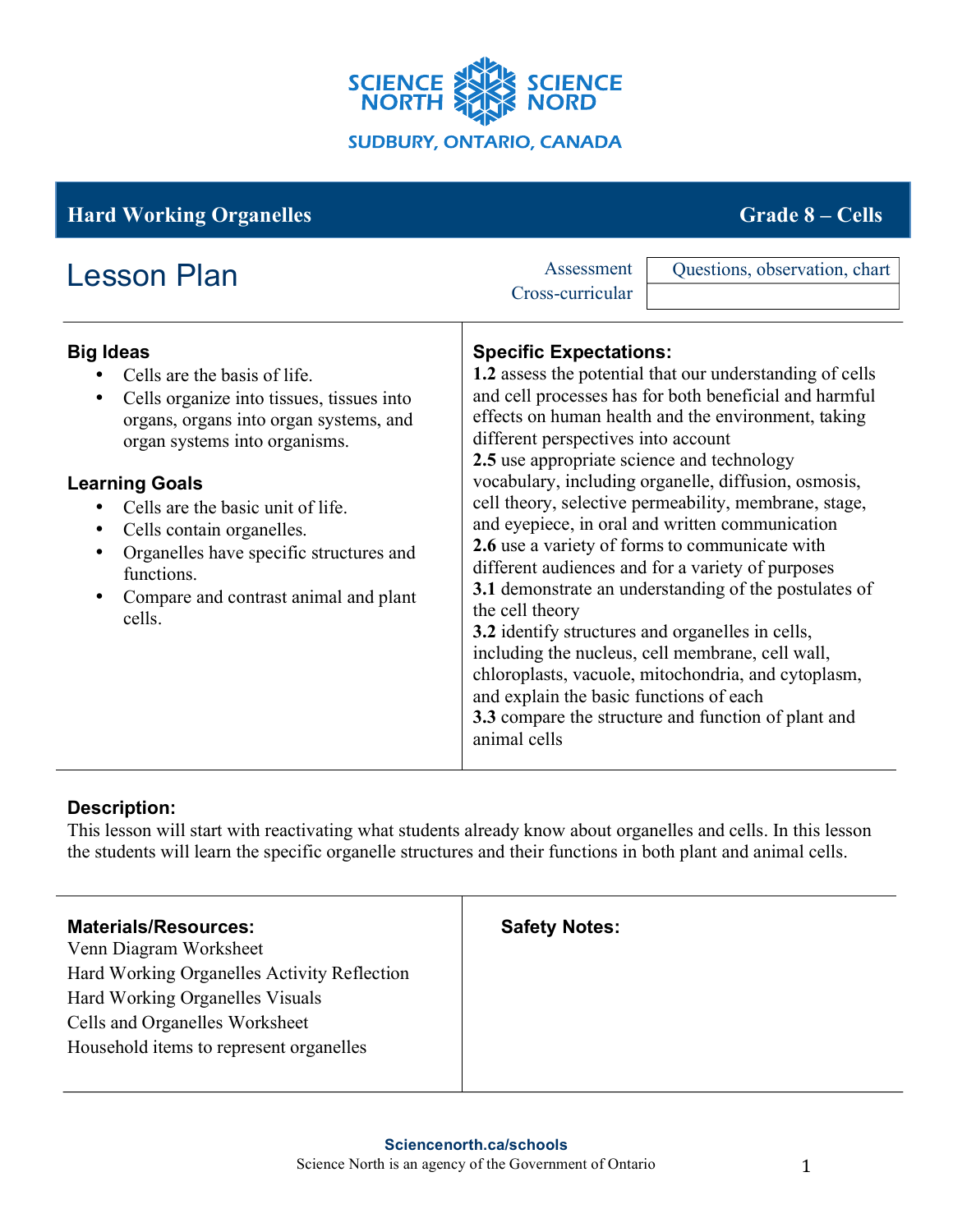

| <b>Hard Working Organelles</b>                                                                                                                                                                                                                                                                                                                                                                                          | <b>Grade 8 – Cells</b>                                                                                                                                                                                                                                                                                                                                                                                                                                                                                                                                                                                                                                                                                                    |
|-------------------------------------------------------------------------------------------------------------------------------------------------------------------------------------------------------------------------------------------------------------------------------------------------------------------------------------------------------------------------------------------------------------------------|---------------------------------------------------------------------------------------------------------------------------------------------------------------------------------------------------------------------------------------------------------------------------------------------------------------------------------------------------------------------------------------------------------------------------------------------------------------------------------------------------------------------------------------------------------------------------------------------------------------------------------------------------------------------------------------------------------------------------|
| <b>Lesson Plan</b><br><b>Big Ideas</b><br>Cells are the basis of life.<br>Cells organize into tissues, tissues into<br>$\bullet$<br>organs, organs into organ systems, and<br>organ systems into organisms.<br><b>Learning Goals</b><br>Cells are the basic unit of life.<br>Cells contain organelles.<br>٠<br>Organelles have specific structures and<br>٠<br>functions.<br>Compare and contrast animal and plant<br>٠ | Assessment<br>Questions, observation, chart<br>Cross-curricular<br><b>Specific Expectations:</b><br>1.2 assess the potential that our understanding of cells<br>and cell processes has for both beneficial and harmful<br>effects on human health and the environment, taking<br>different perspectives into account<br>2.5 use appropriate science and technology<br>vocabulary, including organelle, diffusion, osmosis,<br>cell theory, selective permeability, membrane, stage,<br>and eyepiece, in oral and written communication<br>2.6 use a variety of forms to communicate with<br>different audiences and for a variety of purposes<br>3.1 demonstrate an understanding of the postulates of<br>the cell theory |
| cells.                                                                                                                                                                                                                                                                                                                                                                                                                  | 3.2 identify structures and organelles in cells,<br>including the nucleus, cell membrane, cell wall,<br>chloroplasts, vacuole, mitochondria, and cytoplasm,<br>and explain the basic functions of each<br>3.3 compare the structure and function of plant and<br>animal cells                                                                                                                                                                                                                                                                                                                                                                                                                                             |

# **Description:**

This lesson will start with reactivating what students already know about organelles and cells. In this lesson the students will learn the specific organelle structures and their functions in both plant and animal cells.

| <b>Materials/Resources:</b><br>Venn Diagram Worksheet<br>Hard Working Organelles Activity Reflection | <b>Safety Notes:</b> |
|------------------------------------------------------------------------------------------------------|----------------------|
| Hard Working Organelles Visuals                                                                      |                      |
| Cells and Organelles Worksheet                                                                       |                      |
| Household items to represent organelles                                                              |                      |
|                                                                                                      |                      |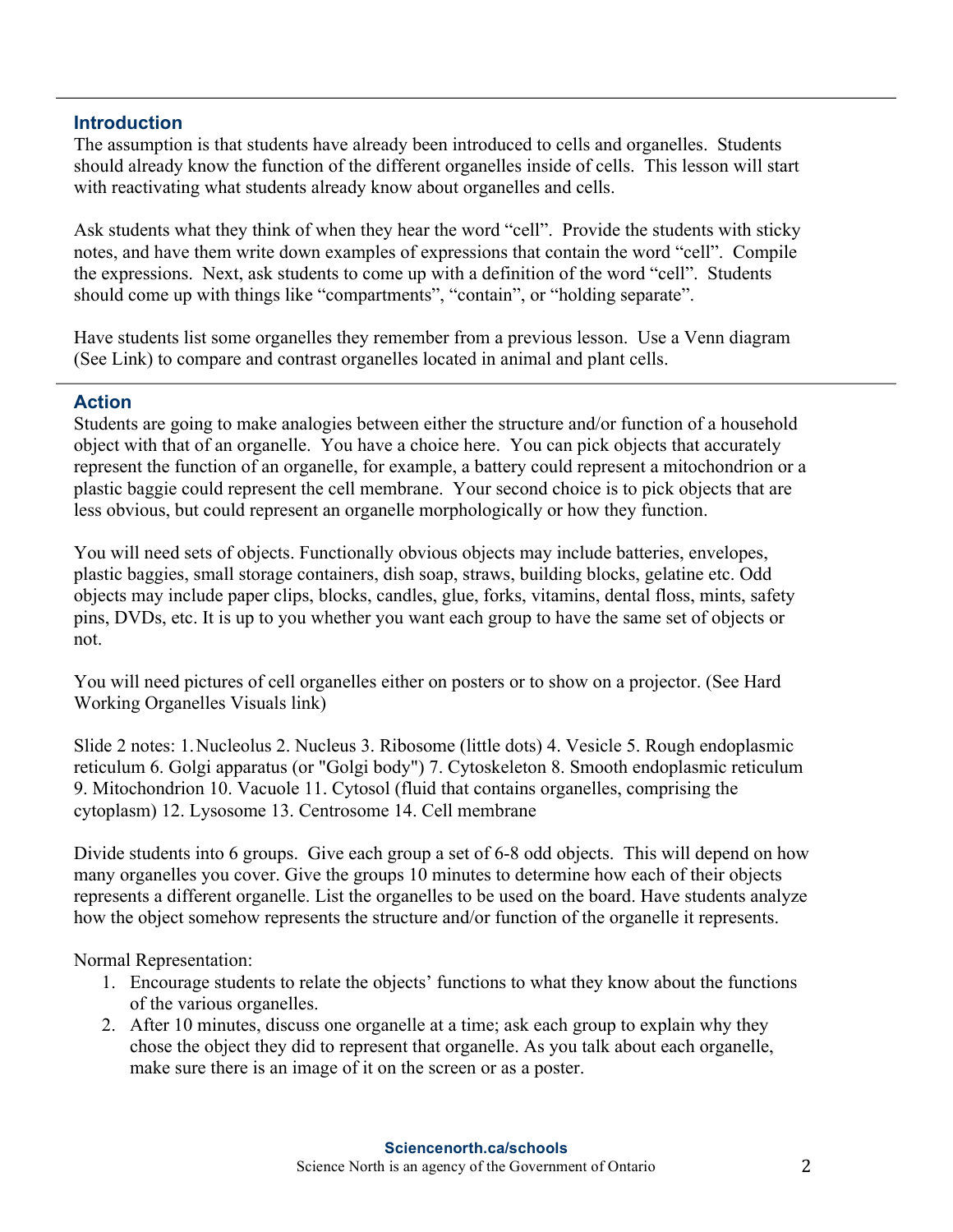#### **Introduction**

The assumption is that students have already been introduced to cells and organelles. Students should already know the function of the different organelles inside of cells. This lesson will start with reactivating what students already know about organelles and cells.

Ask students what they think of when they hear the word "cell". Provide the students with sticky notes, and have them write down examples of expressions that contain the word "cell". Compile the expressions. Next, ask students to come up with a definition of the word "cell". Students should come up with things like "compartments", "contain", or "holding separate".

Have students list some organelles they remember from a previous lesson. Use a Venn diagram (See Link) to compare and contrast organelles located in animal and plant cells.

### **Action**

Students are going to make analogies between either the structure and/or function of a household object with that of an organelle. You have a choice here. You can pick objects that accurately represent the function of an organelle, for example, a battery could represent a mitochondrion or a plastic baggie could represent the cell membrane. Your second choice is to pick objects that are less obvious, but could represent an organelle morphologically or how they function.

You will need sets of objects. Functionally obvious objects may include batteries, envelopes, plastic baggies, small storage containers, dish soap, straws, building blocks, gelatine etc. Odd objects may include paper clips, blocks, candles, glue, forks, vitamins, dental floss, mints, safety pins, DVDs, etc. It is up to you whether you want each group to have the same set of objects or not.

You will need pictures of cell organelles either on posters or to show on a projector. (See Hard Working Organelles Visuals link)

Slide 2 notes: 1.Nucleolus 2. Nucleus 3. Ribosome (little dots) 4. Vesicle 5. Rough endoplasmic reticulum 6. Golgi apparatus (or "Golgi body") 7. Cytoskeleton 8. Smooth endoplasmic reticulum 9. Mitochondrion 10. Vacuole 11. Cytosol (fluid that contains organelles, comprising the cytoplasm) 12. Lysosome 13. Centrosome 14. Cell membrane

Divide students into 6 groups. Give each group a set of 6-8 odd objects. This will depend on how many organelles you cover. Give the groups 10 minutes to determine how each of their objects represents a different organelle. List the organelles to be used on the board. Have students analyze how the object somehow represents the structure and/or function of the organelle it represents.

Normal Representation:

- 1. Encourage students to relate the objects' functions to what they know about the functions of the various organelles.
- 2. After 10 minutes, discuss one organelle at a time; ask each group to explain why they chose the object they did to represent that organelle. As you talk about each organelle, make sure there is an image of it on the screen or as a poster.